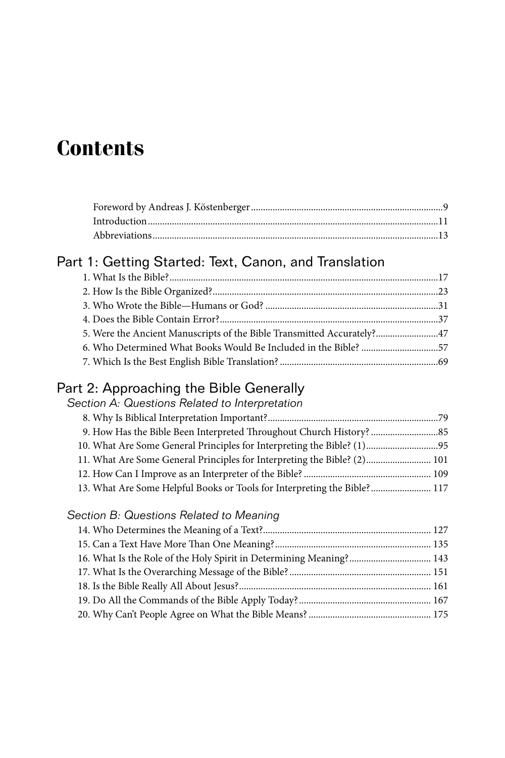# **Contents**

## Part 1: Getting Started: Text, Canon, and Translation

| 6. Who Determined What Books Would Be Included in the Bible? 57 |  |
|-----------------------------------------------------------------|--|
|                                                                 |  |
|                                                                 |  |

## Part 2: Approaching the Bible Generally

| Section A: Questions Related to Interpretation                           |  |
|--------------------------------------------------------------------------|--|
|                                                                          |  |
|                                                                          |  |
|                                                                          |  |
| 11. What Are Some General Principles for Interpreting the Bible? (2) 101 |  |
|                                                                          |  |
| 13. What Are Some Helpful Books or Tools for Interpreting the Bible? 117 |  |

## *Section B: Questions Related to Meaning*

| 143 16. What Is the Role of the Holy Spirit in Determining Meaning? 143 |  |
|-------------------------------------------------------------------------|--|
|                                                                         |  |
|                                                                         |  |
|                                                                         |  |
|                                                                         |  |
|                                                                         |  |